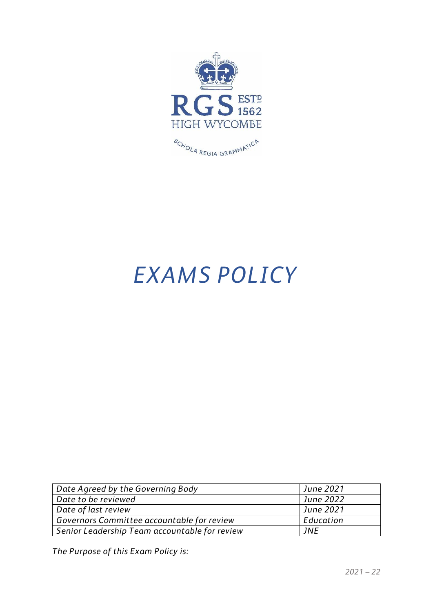

# *EXAMS POLICY*

| Date Agreed by the Governing Body             | June 2021              |
|-----------------------------------------------|------------------------|
| Date to be reviewed                           | <sup>1</sup> June 2022 |
| Date of last review                           | <sup>1</sup> June 2021 |
| Governors Committee accountable for review    | Education              |
| Senior Leadership Team accountable for review | 1NF                    |

*The Purpose of this Exam Policy is:*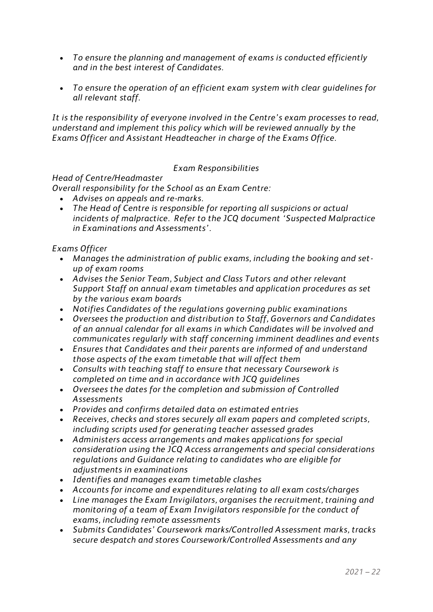- *To ensure the planning and management of exams is conducted efficiently and in the best interest of Candidates.*
- *To ensure the operation of an efficient exam system with clear guidelines for all relevant staff.*

*It is the responsibility of everyone involved in the Centre's exam processes to read, understand and implement this policy which will be reviewed annually by the Exams Officer and Assistant Headteacher in charge of the Exams Office.*

## *Exam Responsibilities*

#### *Head of Centre/Headmaster*

*Overall responsibility for the School as an Exam Centre:*

- *Advises on appeals and re-marks.*
- *The Head of Centre is responsible for reporting all suspicions or actual incidents of malpractice. Refer to the JCQ document 'Suspected Malpractice in Examinations and Assessments'.*

### *Exams Officer*

- *Manages the administration of public exams, including the booking and setup of exam rooms*
- *Advises the Senior Team, Subject and Class Tutors and other relevant Support Staff on annual exam timetables and application procedures as set by the various exam boards*
- *Notifies Candidates of the regulations governing public examinations*
- *Oversees the production and distribution to Staff, Governors and Candidates of an annual calendar for all exams in which Candidates will be involved and communicates regularly with staff concerning imminent deadlines and events*
- *Ensures that Candidates and their parents are informed of and understand those aspects of the exam timetable that will affect them*
- *Consults with teaching staff to ensure that necessary Coursework is completed on time and in accordance with JCQ guidelines*
- *Oversees the dates for the completion and submission of Controlled Assessments*
- *Provides and confirms detailed data on estimated entries*
- *Receives, checks and stores securely all exam papers and completed scripts, including scripts used for generating teacher assessed grades*
- *Administers access arrangements and makes applications for special consideration using the JCQ Access arrangements and special considerations regulations and Guidance relating to candidates who are eligible for adjustments in examinations*
- *Identifies and manages exam timetable clashes*
- *Accounts for income and expenditures relating to all exam costs/charges*
- *Line manages the Exam Invigilators, organises the recruitment, training and monitoring of a team of Exam Invigilators responsible for the conduct of exams, including remote assessments*
- *Submits Candidates' Coursework marks/Controlled Assessment marks, tracks secure despatch and stores Coursework/Controlled Assessments and any*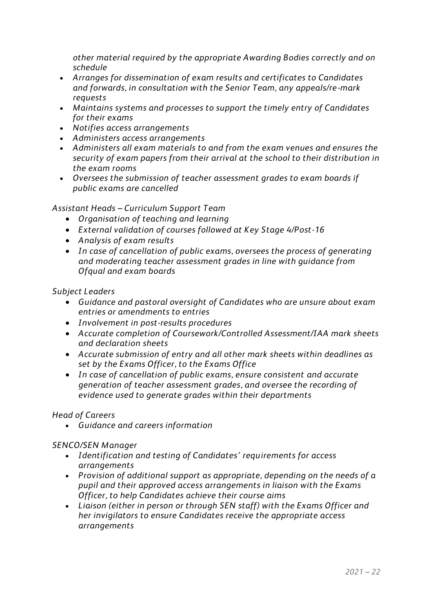*other material required by the appropriate Awarding Bodies correctly and on schedule*

- *Arranges for dissemination of exam results and certificates to Candidates and forwards, in consultation with the Senior Team, any appeals/re-mark requests*
- *Maintains systems and processes to support the timely entry of Candidates for their exams*
- *Notifies access arrangements*
- *Administers access arrangements*
- *Administers all exam materials to and from the exam venues and ensures the security of exam papers from their arrival at the school to their distribution in the exam rooms*
- *Oversees the submission of teacher assessment grades to exam boards if public exams are cancelled*

## *Assistant Heads – Curriculum Support Team*

- *Organisation of teaching and learning*
- *External validation of courses followed at Key Stage 4/Post-16*
- *Analysis of exam results*
- *In case of cancellation of public exams, oversees the process of generating and moderating teacher assessment grades in line with guidance from Ofqual and exam boards*

### *Subject Leaders*

- *Guidance and pastoral oversight of Candidates who are unsure about exam entries or amendments to entries*
- *Involvement in post-results procedures*
- *Accurate completion of Coursework/Controlled Assessment/IAA mark sheets and declaration sheets*
- *Accurate submission of entry and all other mark sheets within deadlines as set by the Exams Officer, to the Exams Office*
- *In case of cancellation of public exams, ensure consistent and accurate generation of teacher assessment grades, and oversee the recording of evidence used to generate grades within their departments*

## *Head of Careers*

• *Guidance and careers information*

## *SENCO/SEN Manager*

- *Identification and testing of Candidates' requirements for access arrangements*
- *Provision of additional support as appropriate, depending on the needs of a pupil and their approved access arrangements in liaison with the Exams Officer, to help Candidates achieve their course aims*
- *Liaison (either in person or through SEN staff) with the Exams Officer and her invigilators to ensure Candidates receive the appropriate access arrangements*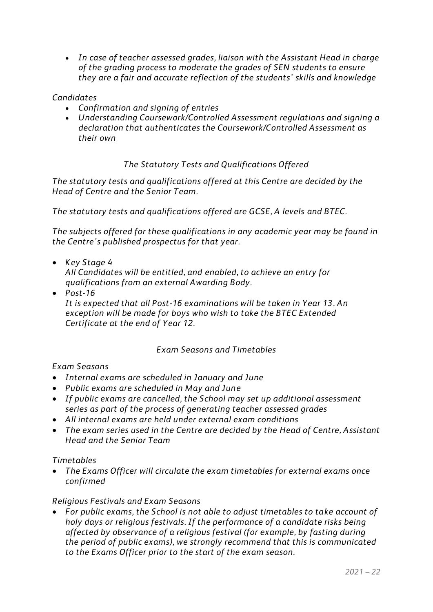• *In case of teacher assessed grades, liaison with the Assistant Head in charge of the grading process to moderate the grades of SEN students to ensure they are a fair and accurate reflection of the students' skills and knowledge*

## *Candidates*

- *Confirmation and signing of entries*
- *Understanding Coursework/Controlled Assessment regulations and signing a declaration that authenticates the Coursework/Controlled Assessment as their own*

### *The Statutory Tests and Qualifications Offered*

*The statutory tests and qualifications offered at this Centre are decided by the Head of Centre and the Senior Team.*

*The statutory tests and qualifications offered are GCSE, A levels and BTEC.*

*The subjects offered for these qualifications in any academic year may be found in the Centre's published prospectus for that year.* 

• *Key Stage 4*

*All Candidates will be entitled, and enabled, to achieve an entry for qualifications from an external Awarding Body.*

• *Post-16 It is expected that all Post-16 examinations will be taken in Year 13. An exception will be made for boys who wish to take the BTEC Extended Certificate at the end of Year 12.*

#### *Exam Seasons and Timetables*

#### *Exam Seasons*

- *Internal exams are scheduled in January and June*
- *Public exams are scheduled in May and June*
- *If public exams are cancelled, the School may set up additional assessment series as part of the process of generating teacher assessed grades*
- *All internal exams are held under external exam conditions*
- *The exam series used in the Centre are decided by the Head of Centre, Assistant Head and the Senior Team*

#### *Timetables*

• *The Exams Officer will circulate the exam timetables for external exams once confirmed*

#### *Religious Festivals and Exam Seasons*

• *For public exams, the School is not able to adjust timetables to take account of holy days or religious festivals. If the performance of a candidate risks being affected by observance of a religious festival (for example, by fasting during the period of public exams), we strongly recommend that this is communicated to the Exams Officer prior to the start of the exam season.*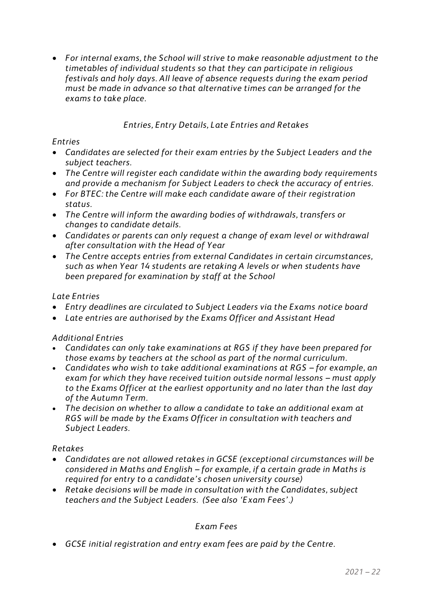• *For internal exams, the School will strive to make reasonable adjustment to the timetables of individual students so that they can participate in religious festivals and holy days. All leave of absence requests during the exam period must be made in advance so that alternative times can be arranged for the exams to take place.*

## *Entries, Entry Details, Late Entries and Retakes*

#### *Entries*

- *Candidates are selected for their exam entries by the Subject Leaders and the subject teachers.*
- *The Centre will register each candidate within the awarding body requirements and provide a mechanism for Subject Leaders to check the accuracy of entries.*
- *For BTEC: the Centre will make each candidate aware of their registration status.*
- *The Centre will inform the awarding bodies of withdrawals, transfers or changes to candidate details.*
- *Candidates or parents can only request a change of exam level or withdrawal after consultation with the Head of Year*
- *The Centre accepts entries from external Candidates in certain circumstances, such as when Year 14 students are retaking A levels or when students have been prepared for examination by staff at the School*

### *Late Entries*

- *Entry deadlines are circulated to Subject Leaders via the Exams notice board*
- *Late entries are authorised by the Exams Officer and Assistant Head*

## *Additional Entries*

- *Candidates can only take examinations at RGS if they have been prepared for those exams by teachers at the school as part of the normal curriculum.*
- Candidates who wish to take additional examinations at RGS for example, an *exam for which they have received tuition outside normal lessons – must apply to the Exams Officer at the earliest opportunity and no later than the last day of the Autumn Term.*
- *The decision on whether to allow a candidate to take an additional exam at RGS will be made by the Exams Officer in consultation with teachers and Subject Leaders.*

#### *Retakes*

- *Candidates are not allowed retakes in GCSE (exceptional circumstances will be considered in Maths and English – for example, if a certain grade in Maths is required for entry to a candidate's chosen university course)*
- *Retake decisions will be made in consultation with the Candidates, subject teachers and the Subject Leaders. (See also 'Exam Fees'.)*

## *Exam Fees*

• *GCSE initial registration and entry exam fees are paid by the Centre.*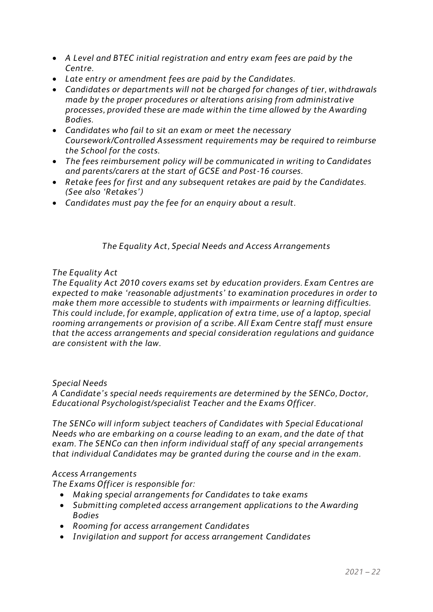- *A Level and BTEC initial registration and entry exam fees are paid by the Centre.*
- *Late entry or amendment fees are paid by the Candidates.*
- *Candidates or departments will not be charged for changes of tier, withdrawals made by the proper procedures or alterations arising from administrative processes, provided these are made within the time allowed by the Awarding Bodies.*
- *Candidates who fail to sit an exam or meet the necessary Coursework/Controlled Assessment requirements may be required to reimburse the School for the costs.*
- *The fees reimbursement policy will be communicated in writing to Candidates and parents/carers at the start of GCSE and Post-16 courses.*
- *Retake fees for first and any subsequent retakes are paid by the Candidates. (See also 'Retakes')*
- *Candidates must pay the fee for an enquiry about a result.*

### *The Equality Act, Special Needs and Access Arrangements*

#### *The Equality Act*

*The Equality Act 2010 covers exams set by education providers. Exam Centres are expected to make 'reasonable adjustments' to examination procedures in order to make them more accessible to students with impairments or learning difficulties. This could include, for example, application of extra time, use of a laptop, special rooming arrangements or provision of a scribe. All Exam Centre staff must ensure that the access arrangements and special consideration regulations and guidance are consistent with the law.* 

#### *Special Needs*

*A Candidate's special needs requirements are determined by the SENCo, Doctor, Educational Psychologist/specialist Teacher and the Exams Officer.*

*The SENCo will inform subject teachers of Candidates with Special Educational Needs who are embarking on a course leading to an exam, and the date of that exam. The SENCo can then inform individual staff of any special arrangements that individual Candidates may be granted during the course and in the exam.*

#### *Access Arrangements*

*The Exams Officer is responsible for:*

- *Making special arrangements for Candidates to take exams*
- *Submitting completed access arrangement applications to the Awarding Bodies*
- *Rooming for access arrangement Candidates*
- *Invigilation and support for access arrangement Candidates*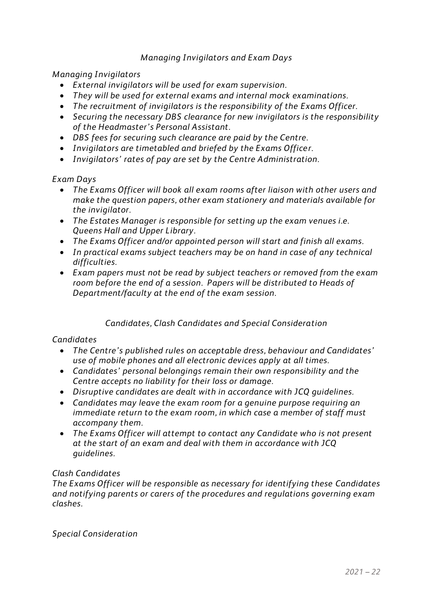## *Managing Invigilators and Exam Days*

*Managing Invigilators*

- *External invigilators will be used for exam supervision.*
- *They will be used for external exams and internal mock examinations.*
- *The recruitment of invigilators is the responsibility of the Exams Officer.*
- *Securing the necessary DBS clearance for new invigilators is the responsibility of the Headmaster's Personal Assistant.*
- *DBS fees for securing such clearance are paid by the Centre.*
- *Invigilators are timetabled and briefed by the Exams Officer.*
- *Invigilators' rates of pay are set by the Centre Administration.*

#### *Exam Days*

- *The Exams Officer will book all exam rooms after liaison with other users and make the question papers, other exam stationery and materials available for the invigilator.*
- *The Estates Manager is responsible for setting up the exam venues i.e. Queens Hall and Upper Library.*
- *The Exams Officer and/or appointed person will start and finish all exams.*
- *In practical exams subject teachers may be on hand in case of any technical difficulties.*
- *Exam papers must not be read by subject teachers or removed from the exam room before the end of a session. Papers will be distributed to Heads of Department/faculty at the end of the exam session.*

## *Candidates, Clash Candidates and Special Consideration*

#### *Candidates*

- *The Centre's published rules on acceptable dress, behaviour and Candidates' use of mobile phones and all electronic devices apply at all times.*
- *Candidates' personal belongings remain their own responsibility and the Centre accepts no liability for their loss or damage.*
- *Disruptive candidates are dealt with in accordance with JCQ guidelines.*
- *Candidates may leave the exam room for a genuine purpose requiring an immediate return to the exam room, in which case a member of staff must accompany them.*
- *The Exams Officer will attempt to contact any Candidate who is not present at the start of an exam and deal with them in accordance with JCQ guidelines.*

#### *Clash Candidates*

*The Exams Officer will be responsible as necessary for identifying these Candidates and notifying parents or carers of the procedures and regulations governing exam clashes.*

*Special Consideration*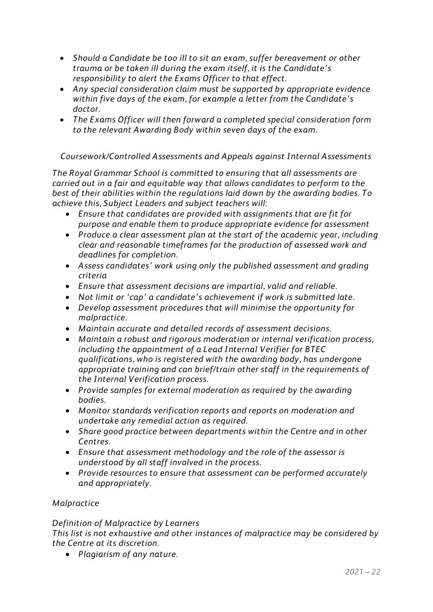- *Should a Candidate be too ill to sit an exam, suffer bereavement or other trauma or be taken ill during the exam itself, it is the Candidate's responsibility to alert the Exams Officer to that effect.*
- *Any special consideration claim must be supported by appropriate evidence within five days of the exam, for example a letter from the Candidate's doctor.*
- *The Exams Officer will then forward a completed special consideration form to the relevant Awarding Body within seven days of the exam.*

*Coursework/Controlled Assessments and Appeals against Internal Assessments*

*The Royal Grammar School is committed to ensuring that all assessments are carried out in a fair and equitable way that allows candidates to perform to the best of their abilities within the regulations laid down by the awarding bodies. To achieve this, Subject Leaders and subject teachers will:* 

- *Ensure that candidates are provided with assignments that are fit for purpose and enable them to produce appropriate evidence for assessment*
- *Produce a clear assessment plan at the start of the academic year, including clear and reasonable timeframes for the production of assessed work and deadlines for completion.*
- *Assess candidates' work using only the published assessment and grading criteria*
- *Ensure that assessment decisions are impartial, valid and reliable.*
- *Not limit or 'cap' a candidate's achievement if work is submitted late.*
- *Develop assessment procedures that will minimise the opportunity for malpractice.*
- *Maintain accurate and detailed records of assessment decisions.*
- *Maintain a robust and rigorous moderation or internal verification process, including the appointment of a Lead Internal Verifier for BTEC qualifications, who is registered with the awarding body, has undergone appropriate training and can brief/train other staff in the requirements of the Internal Verification process.*
- *Provide samples for external moderation as required by the awarding bodies.*
- *Monitor standards verification reports and reports on moderation and undertake any remedial action as required.*
- *Share good practice between departments within the Centre and in other Centres.*
- *Ensure that assessment methodology and the role of the assessor is understood by all staff involved in the process.*
- *Provide resources to ensure that assessment can be performed accurately and appropriately.*

## *Malpractice*

## *Definition of Malpractice by Learners*

*This list is not exhaustive and other instances of malpractice may be considered by the Centre at its discretion.*

• *Plagiarism of any nature.*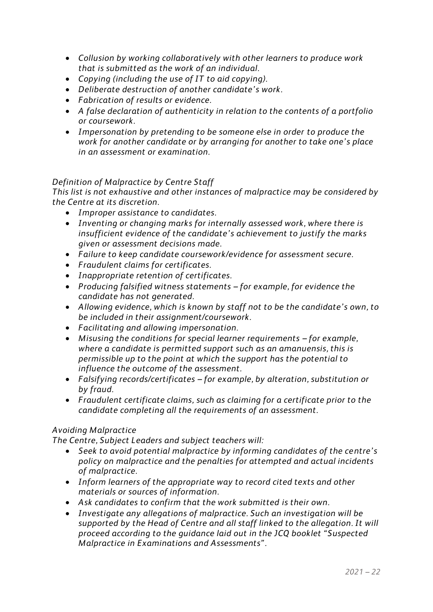- *Collusion by working collaboratively with other learners to produce work that is submitted as the work of an individual.*
- *Copying (including the use of IT to aid copying).*
- *Deliberate destruction of another candidate's work.*
- *Fabrication of results or evidence.*
- *A false declaration of authenticity in relation to the contents of a portfolio or coursework.*
- *Impersonation by pretending to be someone else in order to produce the work for another candidate or by arranging for another to take one's place in an assessment or examination.*

## *Definition of Malpractice by Centre Staff*

*This list is not exhaustive and other instances of malpractice may be considered by the Centre at its discretion.*

- *Improper assistance to candidates.*
- *Inventing or changing marks for internally assessed work, where there is insufficient evidence of the candidate's achievement to justify the marks given or assessment decisions made.*
- *Failure to keep candidate coursework/evidence for assessment secure.*
- *Fraudulent claims for certificates.*
- *Inappropriate retention of certificates.*
- *Producing falsified witness statements – for example, for evidence the candidate has not generated.*
- *Allowing evidence, which is known by staff not to be the candidate's own, to be included in their assignment/coursework.*
- *Facilitating and allowing impersonation.*
- Misusing the conditions for special learner requirements for example, *where a candidate is permitted support such as an amanuensis, this is permissible up to the point at which the support has the potential to influence the outcome of the assessment.*
- *Falsifying records/certificates – for example, by alteration, substitution or by fraud.*
- *Fraudulent certificate claims, such as claiming for a certificate prior to the candidate completing all the requirements of an assessment.*

## *Avoiding Malpractice*

*The Centre, Subject Leaders and subject teachers will:* 

- *Seek to avoid potential malpractice by informing candidates of the centre's policy on malpractice and the penalties for attempted and actual incidents of malpractice.*
- *Inform learners of the appropriate way to record cited texts and other materials or sources of information.*
- *Ask candidates to confirm that the work submitted is their own.*
- *Investigate any allegations of malpractice. Such an investigation will be supported by the Head of Centre and all staff linked to the allegation. It will proceed according to the guidance laid out in the JCQ booklet "Suspected Malpractice in Examinations and Assessments".*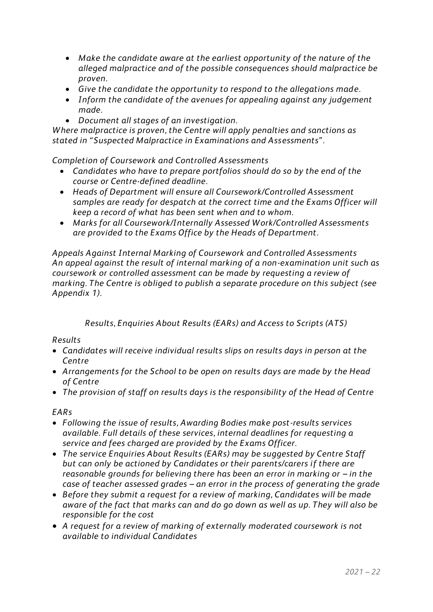- *Make the candidate aware at the earliest opportunity of the nature of the alleged malpractice and of the possible consequences should malpractice be proven.*
- *Give the candidate the opportunity to respond to the allegations made.*
- *Inform the candidate of the avenues for appealing against any judgement made.*
- *Document all stages of an investigation.*

*Where malpractice is proven, the Centre will apply penalties and sanctions as stated in "Suspected Malpractice in Examinations and Assessments".*

*Completion of Coursework and Controlled Assessments*

- *Candidates who have to prepare portfolios should do so by the end of the course or Centre-defined deadline.*
- *Heads of Department will ensure all Coursework/Controlled Assessment samples are ready for despatch at the correct time and the Exams Officer will keep a record of what has been sent when and to whom.*
- *Marks for all Coursework/Internally Assessed Work/Controlled Assessments are provided to the Exams Office by the Heads of Department.*

*Appeals Against Internal Marking of Coursework and Controlled Assessments An appeal against the result of internal marking of a non-examination unit such as coursework or controlled assessment can be made by requesting a review of marking. The Centre is obliged to publish a separate procedure on this subject (see Appendix 1).*

*Results, Enquiries About Results (EARs) and Access to Scripts (ATS)*

*Results*

- *Candidates will receive individual results slips on results days in person at the Centre*
- *Arrangements for the School to be open on results days are made by the Head of Centre*
- *The provision of staff on results days is the responsibility of the Head of Centre*

*EARs*

- *Following the issue of results, Awarding Bodies make post-results services available. Full details of these services, internal deadlines for requesting a service and fees charged are provided by the Exams Officer.*
- *The service Enquiries About Results (EARs) may be suggested by Centre Staff but can only be actioned by Candidates or their parents/carers if there are reasonable grounds for believing there has been an error in marking or – in the case of teacher assessed grades – an error in the process of generating the grade*
- *Before they submit a request for a review of marking, Candidates will be made aware of the fact that marks can and do go down as well as up. They will also be responsible for the cost*
- *A request for a review of marking of externally moderated coursework is not available to individual Candidates*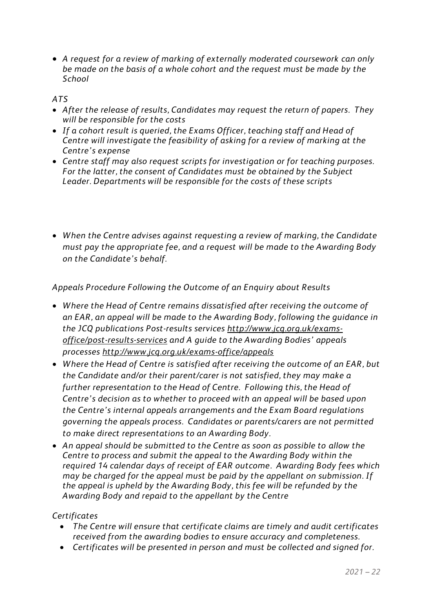• *A request for a review of marking of externally moderated coursework can only be made on the basis of a whole cohort and the request must be made by the School*

## *ATS*

- *After the release of results, Candidates may request the return of papers. They will be responsible for the costs*
- *If a cohort result is queried, the Exams Officer, teaching staff and Head of Centre will investigate the feasibility of asking for a review of marking at the Centre's expense*
- *Centre staff may also request scripts for investigation or for teaching purposes. For the latter, the consent of Candidates must be obtained by the Subject Leader. Departments will be responsible for the costs of these scripts*
- *When the Centre advises against requesting a review of marking, the Candidate must pay the appropriate fee, and a request will be made to the Awarding Body on the Candidate's behalf.*

*Appeals Procedure Following the Outcome of an Enquiry about Results*

- *Where the Head of Centre remains dissatisfied after receiving the outcome of an EAR, an appeal will be made to the Awarding Body, following the guidance in the JCQ publications Post-results services [http://www.jcq.org.uk/exams](http://www.jcq.org.uk/exams-office/post-results-services)[office/post-results-services](http://www.jcq.org.uk/exams-office/post-results-services) and A guide to the Awarding Bodies' appeals processes<http://www.jcq.org.uk/exams-office/appeals>*
- *Where the Head of Centre is satisfied after receiving the outcome of an EAR, but the Candidate and/or their parent/carer is not satisfied, they may make a further representation to the Head of Centre. Following this, the Head of Centre's decision as to whether to proceed with an appeal will be based upon the Centre's internal appeals arrangements and the Exam Board regulations governing the appeals process. Candidates or parents/carers are not permitted to make direct representations to an Awarding Body.*
- *An appeal should be submitted to the Centre as soon as possible to allow the Centre to process and submit the appeal to the Awarding Body within the required 14 calendar days of receipt of EAR outcome. Awarding Body fees which may be charged for the appeal must be paid by the appellant on submission. If the appeal is upheld by the Awarding Body, this fee will be refunded by the Awarding Body and repaid to the appellant by the Centre*

## *Certificates*

- *The Centre will ensure that certificate claims are timely and audit certificates received from the awarding bodies to ensure accuracy and completeness.*
- *Certificates will be presented in person and must be collected and signed for.*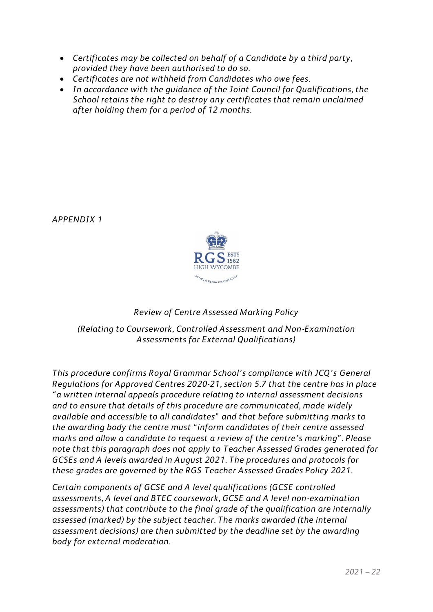- *Certificates may be collected on behalf of a Candidate by a third party, provided they have been authorised to do so.*
- *Certificates are not withheld from Candidates who owe fees.*
- *In accordance with the guidance of the Joint Council for Qualifications, the School retains the right to destroy any certificates that remain unclaimed after holding them for a period of 12 months.*

*APPENDIX 1*



## *Review of Centre Assessed Marking Policy*

*(Relating to Coursework, Controlled Assessment and Non-Examination Assessments for External Qualifications)*

*This procedure confirms Royal Grammar School's compliance with JCQ's General Regulations for Approved Centres 2020-21, section 5.7 that the centre has in place "a written internal appeals procedure relating to internal assessment decisions and to ensure that details of this procedure are communicated, made widely available and accessible to all candidates" and that before submitting marks to the awarding body the centre must "inform candidates of their centre assessed marks and allow a candidate to request a review of the centre's marking". Please note that this paragraph does not apply to Teacher Assessed Grades generated for GCSEs and A levels awarded in August 2021. The procedures and protocols for these grades are governed by the RGS Teacher Assessed Grades Policy 2021.*

*Certain components of GCSE and A level qualifications (GCSE controlled assessments, A level and BTEC coursework, GCSE and A level non-examination assessments) that contribute to the final grade of the qualification are internally assessed (marked) by the subject teacher. The marks awarded (the internal assessment decisions) are then submitted by the deadline set by the awarding body for external moderation.*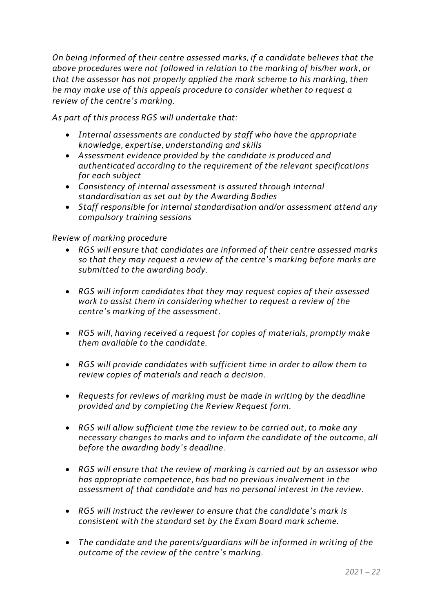*On being informed of their centre assessed marks, if a candidate believes that the above procedures were not followed in relation to the marking of his/her work, or that the assessor has not properly applied the mark scheme to his marking, then he may make use of this appeals procedure to consider whether to request a review of the centre's marking.*

*As part of this process RGS will undertake that:*

- *Internal assessments are conducted by staff who have the appropriate knowledge, expertise, understanding and skills*
- *Assessment evidence provided by the candidate is produced and authenticated according to the requirement of the relevant specifications for each subject*
- *Consistency of internal assessment is assured through internal standardisation as set out by the Awarding Bodies*
- *Staff responsible for internal standardisation and/or assessment attend any compulsory training sessions*

## *Review of marking procedure*

- *RGS will ensure that candidates are informed of their centre assessed marks so that they may request a review of the centre's marking before marks are submitted to the awarding body.*
- *RGS will inform candidates that they may request copies of their assessed work to assist them in considering whether to request a review of the centre's marking of the assessment.*
- *RGS will, having received a request for copies of materials, promptly make them available to the candidate.*
- *RGS will provide candidates with sufficient time in order to allow them to review copies of materials and reach a decision.*
- *Requests for reviews of marking must be made in writing by the deadline provided and by completing the Review Request form.*
- *RGS will allow sufficient time the review to be carried out, to make any necessary changes to marks and to inform the candidate of the outcome, all before the awarding body's deadline.*
- *RGS will ensure that the review of marking is carried out by an assessor who has appropriate competence, has had no previous involvement in the assessment of that candidate and has no personal interest in the review.*
- *RGS will instruct the reviewer to ensure that the candidate's mark is consistent with the standard set by the Exam Board mark scheme.*
- *The candidate and the parents/guardians will be informed in writing of the outcome of the review of the centre's marking.*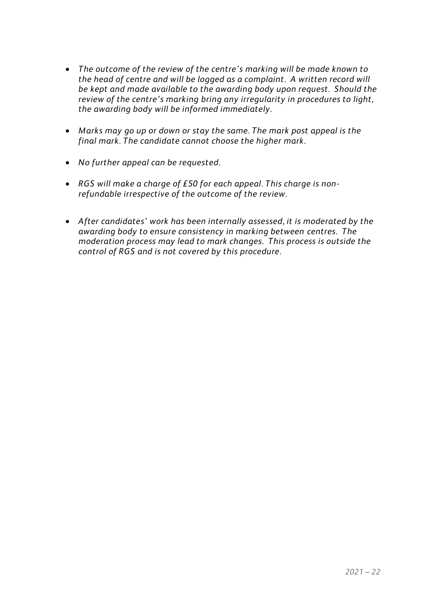- *The outcome of the review of the centre's marking will be made known to the head of centre and will be logged as a complaint. A written record will be kept and made available to the awarding body upon request. Should the review of the centre's marking bring any irregularity in procedures to light, the awarding body will be informed immediately.*
- *Marks may go up or down or stay the same. The mark post appeal is the final mark. The candidate cannot choose the higher mark.*
- *No further appeal can be requested.*
- *RGS will make a charge of £50 for each appeal. This charge is nonrefundable irrespective of the outcome of the review.*
- *After candidates' work has been internally assessed, it is moderated by the awarding body to ensure consistency in marking between centres. The moderation process may lead to mark changes. This process is outside the control of RGS and is not covered by this procedure.*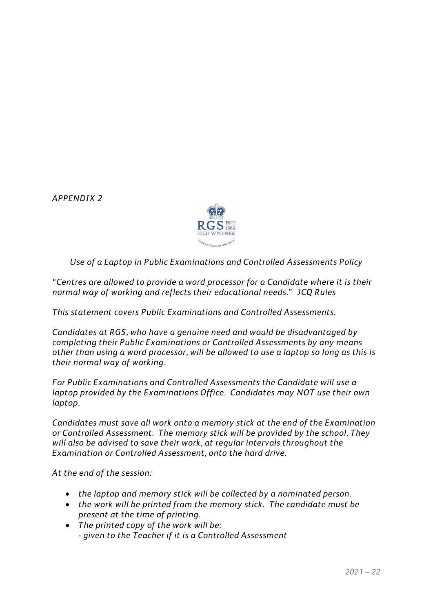*APPENDIX 2*



*Use of a Laptop in Public Examinations and Controlled Assessments Policy*

*"Centres are allowed to provide a word processor for a Candidate where it is their normal way of working and reflects their educational needs." JCQ Rules*

*This statement covers Public Examinations and Controlled Assessments.*

*Candidates at RGS, who have a genuine need and would be disadvantaged by completing their Public Examinations or Controlled Assessments by any means other than using a word processor, will be allowed to use a laptop so long as this is their normal way of working.*

*For Public Examinations and Controlled Assessments the Candidate will use a laptop provided by the Examinations Office. Candidates may NOT use their own laptop.*

*Candidates must save all work onto a memory stick at the end of the Examination or Controlled Assessment. The memory stick will be provided by the school. They will also be advised to save their work, at regular intervals throughout the Examination or Controlled Assessment, onto the hard drive.*

*At the end of the session:*

- *the laptop and memory stick will be collected by a nominated person.*
- *the work will be printed from the memory stick. The candidate must be present at the time of printing.*
- *The printed copy of the work will be: - given to the Teacher if it is a Controlled Assessment*